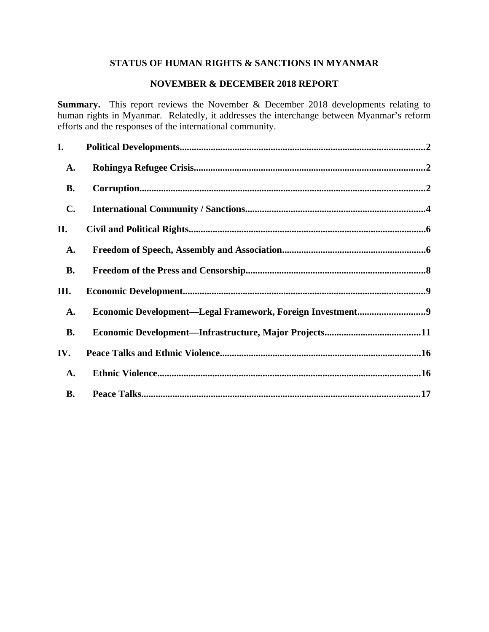# **STATUS OF HUMAN RIGHTS & SANCTIONS IN MYANMAR**

## **NOVEMBER & DECEMBER 2018 REPORT**

**Summary.** This report reviews the November & December 2018 developments relating to human rights in Myanmar. Relatedly, it addresses the interchange between Myanmar's reform efforts and the responses of the international community.

| I.             |                                                           |
|----------------|-----------------------------------------------------------|
| <b>A.</b>      |                                                           |
| <b>B.</b>      |                                                           |
| $\mathbf{C}$ . |                                                           |
| II.            |                                                           |
| A.             |                                                           |
| <b>B.</b>      |                                                           |
| III.           |                                                           |
| <b>A.</b>      | Economic Development-Legal Framework, Foreign Investment9 |
| <b>B.</b>      |                                                           |
| IV.            |                                                           |
| A.             |                                                           |
| <b>B.</b>      |                                                           |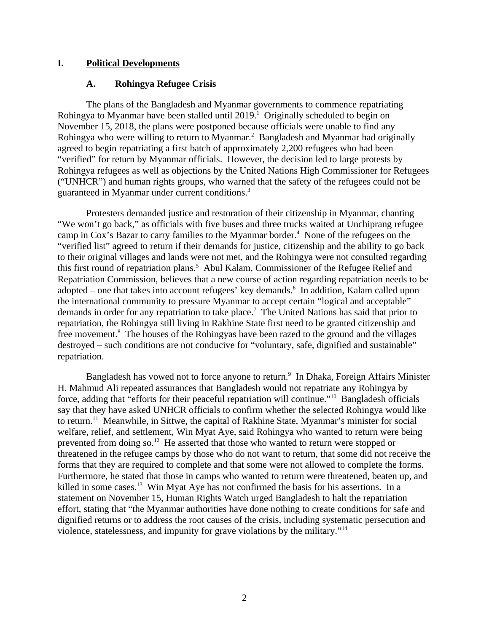### **I. Political Developments**

### <span id="page-1-1"></span><span id="page-1-0"></span>**A. Rohingya Refugee Crisis**

The plans of the Bangladesh and Myanmar governments to commence repatriating Rohingya to Myanmar have been stalled until  $2019.<sup>1</sup>$  Originally scheduled to begin on November 15, 2018, the plans were postponed because officials were unable to find any Rohingya who were willing to return to Myanmar. $^2$  Bangladesh and Myanmar had originally agreed to begin repatriating a first batch of approximately 2,200 refugees who had been "verified" for return by Myanmar officials. However, the decision led to large protests by Rohingya refugees as well as objections by the United Nations High Commissioner for Refugees ("UNHCR") and human rights groups, who warned that the safety of the refugees could not be guaranteed in Myanmar under current conditions.<sup>3</sup>

Protesters demanded justice and restoration of their citizenship in Myanmar, chanting "We won't go back," as officials with five buses and three trucks waited at Unchiprang refugee camp in Cox's Bazar to carry families to the Myanmar border.<sup>4</sup> None of the refugees on the "verified list" agreed to return if their demands for justice, citizenship and the ability to go back to their original villages and lands were not met, and the Rohingya were not consulted regarding this first round of repatriation plans.<sup>5</sup> Abul Kalam, Commissioner of the Refugee Relief and Repatriation Commission, believes that a new course of action regarding repatriation needs to be adopted – one that takes into account refugees' key demands. $6$  In addition, Kalam called upon the international community to pressure Myanmar to accept certain "logical and acceptable" demands in order for any repatriation to take place.<sup>7</sup> The United Nations has said that prior to repatriation, the Rohingya still living in Rakhine State first need to be granted citizenship and free movement.<sup>8</sup> The houses of the Rohingyas have been razed to the ground and the villages destroyed – such conditions are not conducive for "voluntary, safe, dignified and sustainable" repatriation.

Bangladesh has vowed not to force anyone to return. $^9\,$  In Dhaka, Foreign Affairs Minister H. Mahmud Ali repeated assurances that Bangladesh would not repatriate any Rohingya by force, adding that "efforts for their peaceful repatriation will continue."<sup>10</sup> Bangladesh officials say that they have asked UNHCR officials to confirm whether the selected Rohingya would like to return.<sup>11</sup> Meanwhile, in Sittwe, the capital of Rakhine State, Myanmar's minister for social welfare, relief, and settlement, Win Myat Aye, said Rohingya who wanted to return were being prevented from doing  $\text{so.}^{12}$  He asserted that those who wanted to return were stopped or threatened in the refugee camps by those who do not want to return, that some did not receive the forms that they are required to complete and that some were not allowed to complete the forms. Furthermore, he stated that those in camps who wanted to return were threatened, beaten up, and killed in some cases.<sup>13</sup> Win Myat Aye has not confirmed the basis for his assertions. In a statement on November 15, Human Rights Watch urged Bangladesh to halt the repatriation effort, stating that "the Myanmar authorities have done nothing to create conditions for safe and dignified returns or to address the root causes of the crisis, including systematic persecution and violence, statelessness, and impunity for grave violations by the military."<sup>14</sup>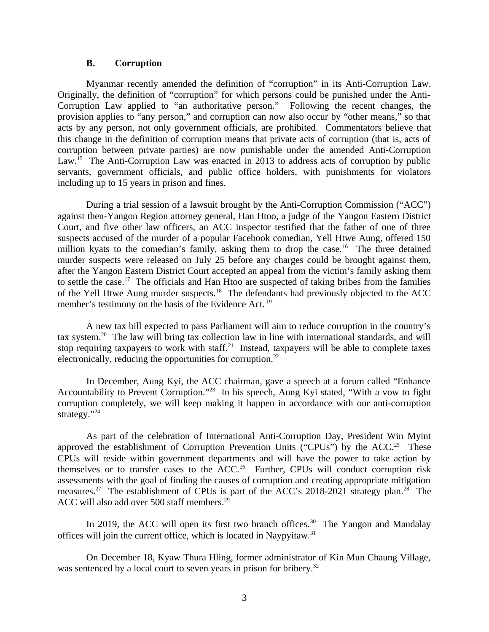#### <span id="page-2-0"></span>**B. Corruption**

Myanmar recently amended the definition of "corruption" in its Anti-Corruption Law. Originally, the definition of "corruption" for which persons could be punished under the Anti-Corruption Law applied to "an authoritative person." Following the recent changes, the provision applies to "any person," and corruption can now also occur by "other means," so that acts by any person, not only government officials, are prohibited. Commentators believe that this change in the definition of corruption means that private acts of corruption (that is, acts of corruption between private parties) are now punishable under the amended Anti-Corruption Law.<sup>15</sup> The Anti-Corruption Law was enacted in 2013 to address acts of corruption by public servants, government officials, and public office holders, with punishments for violators including up to 15 years in prison and fines.

During a trial session of a lawsuit brought by the Anti-Corruption Commission ("ACC") against then-Yangon Region attorney general, Han Htoo, a judge of the Yangon Eastern District Court, and five other law officers, an ACC inspector testified that the father of one of three suspects accused of the murder of a popular Facebook comedian, Yell Htwe Aung, offered 150 million kyats to the comedian's family, asking them to drop the case.<sup>16</sup> The three detained murder suspects were released on July 25 before any charges could be brought against them, after the Yangon Eastern District Court accepted an appeal from the victim's family asking them to settle the case.<sup>17</sup> The officials and Han Htoo are suspected of taking bribes from the families of the Yell Htwe Aung murder suspects.<sup>18</sup> The defendants had previously objected to the ACC member's testimony on the basis of the Evidence Act.<sup>19</sup>

A new tax bill expected to pass Parliament will aim to reduce corruption in the country's tax system.<sup>20</sup> The law will bring tax collection law in line with international standards, and will stop requiring taxpayers to work with staff. $^{21}$  Instead, taxpayers will be able to complete taxes electronically, reducing the opportunities for corruption. $^{22}$ 

In December, Aung Kyi, the ACC chairman, gave a speech at a forum called "Enhance Accountability to Prevent Corruption."<sup>23</sup> In his speech, Aung Kyi stated, "With a vow to fight corruption completely, we will keep making it happen in accordance with our anti-corruption strategy."<sup>24</sup>

As part of the celebration of International Anti-Corruption Day, President Win Myint approved the establishment of Corruption Prevention Units ("CPUs") by the ACC.<sup>25</sup> These CPUs will reside within government departments and will have the power to take action by themselves or to transfer cases to the  $ACC<sup>26</sup>$  Further, CPUs will conduct corruption risk assessments with the goal of finding the causes of corruption and creating appropriate mitigation measures.<sup>27</sup> The establishment of CPUs is part of the ACC's 2018-2021 strategy plan.<sup>28</sup> The ACC will also add over 500 staff members.<sup>29</sup>

In 2019, the ACC will open its first two branch offices.<sup>30</sup> The Yangon and Mandalay offices will join the current office, which is located in Naypyitaw.<sup>31</sup>

On December 18, Kyaw Thura Hling, former administrator of Kin Mun Chaung Village, was sentenced by a local court to seven years in prison for bribery.<sup>32</sup>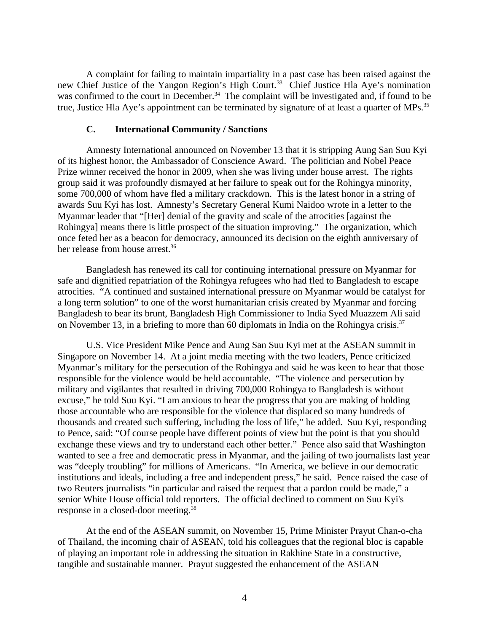A complaint for failing to maintain impartiality in a past case has been raised against the new Chief Justice of the Yangon Region's High Court.<sup>33</sup> Chief Justice Hla Aye's nomination was confirmed to the court in December.<sup>34</sup> The complaint will be investigated and, if found to be true, Justice Hla Aye's appointment can be terminated by signature of at least a quarter of MPs.<sup>35</sup>

#### <span id="page-3-0"></span>**C. International Community / Sanctions**

Amnesty International announced on November 13 that it is stripping Aung San Suu Kyi of its highest honor, the Ambassador of Conscience Award. The politician and Nobel Peace Prize winner received the honor in 2009, when she was living under house arrest. The rights group said it was profoundly dismayed at her failure to speak out for the Rohingya minority, some 700,000 of whom have fled a military crackdown. This is the latest honor in a string of awards Suu Kyi has lost. Amnesty's Secretary General Kumi Naidoo wrote in a letter to the Myanmar leader that "[Her] denial of the gravity and scale of the atrocities [against the Rohingya] means there is little prospect of the situation improving." The organization, which once feted her as a beacon for democracy, announced its decision on the eighth anniversary of her release from house arrest.<sup>36</sup>

Bangladesh has renewed its call for continuing international pressure on Myanmar for safe and dignified repatriation of the Rohingya refugees who had fled to Bangladesh to escape atrocities. "A continued and sustained international pressure on Myanmar would be catalyst for a long term solution" to one of the worst humanitarian crisis created by Myanmar and forcing Bangladesh to bear its brunt, Bangladesh High Commissioner to India Syed Muazzem Ali said on November 13, in a briefing to more than 60 diplomats in India on the Rohingya crisis.<sup>37</sup>

U.S. Vice President Mike Pence and Aung San Suu Kyi met at the ASEAN summit in Singapore on November 14. At a joint media meeting with the two leaders, Pence criticized Myanmar's military for the persecution of the Rohingya and said he was keen to hear that those responsible for the violence would be held accountable. "The violence and persecution by military and vigilantes that resulted in driving 700,000 Rohingya to Bangladesh is without excuse," he told Suu Kyi. "I am anxious to hear the progress that you are making of holding those accountable who are responsible for the violence that displaced so many hundreds of thousands and created such suffering, including the loss of life," he added. Suu Kyi, responding to Pence, said: "Of course people have different points of view but the point is that you should exchange these views and try to understand each other better." Pence also said that Washington wanted to see a free and democratic press in Myanmar, and the jailing of two journalists last year was "deeply troubling" for millions of Americans. "In America, we believe in our democratic institutions and ideals, including a free and independent press," he said. Pence raised the case of two Reuters journalists "in particular and raised the request that a pardon could be made," a senior White House official told reporters. The official declined to comment on Suu Kyi's response in a closed-door meeting.<sup>38</sup>

At the end of the ASEAN summit, on November 15, Prime Minister Prayut Chan-o-cha of Thailand, the incoming chair of ASEAN, told his colleagues that the regional bloc is capable of playing an important role in addressing the situation in Rakhine State in a constructive, tangible and sustainable manner. Prayut suggested the enhancement of the ASEAN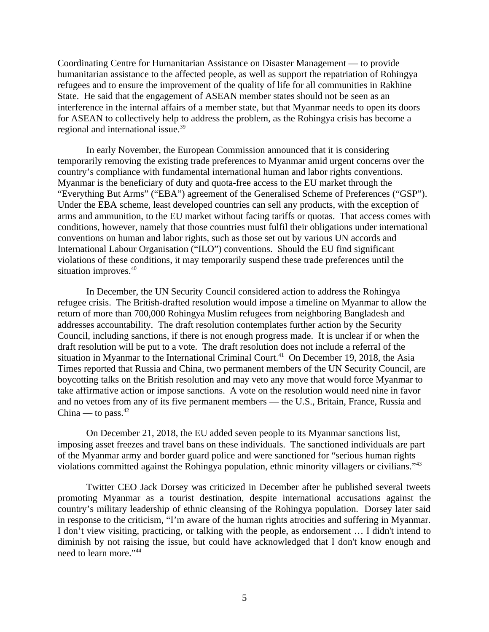Coordinating Centre for Humanitarian Assistance on Disaster Management ― to provide humanitarian assistance to the affected people, as well as support the repatriation of Rohingya refugees and to ensure the improvement of the quality of life for all communities in Rakhine State. He said that the engagement of ASEAN member states should not be seen as an interference in the internal affairs of a member state, but that Myanmar needs to open its doors for ASEAN to collectively help to address the problem, as the Rohingya crisis has become a regional and international issue.<sup>39</sup>

In early November, the European Commission announced that it is considering temporarily removing the existing trade preferences to Myanmar amid urgent concerns over the country's compliance with fundamental international human and labor rights conventions. Myanmar is the beneficiary of duty and quota-free access to the EU market through the "Everything But Arms" ("EBA") agreement of the Generalised Scheme of Preferences ("GSP"). Under the EBA scheme, least developed countries can sell any products, with the exception of arms and ammunition, to the EU market without facing tariffs or quotas. That access comes with conditions, however, namely that those countries must fulfil their obligations under international conventions on human and labor rights, such as those set out by various UN accords and International Labour Organisation ("ILO") conventions. Should the EU find significant violations of these conditions, it may temporarily suspend these trade preferences until the situation improves.<sup>40</sup>

In December, the UN Security Council considered action to address the Rohingya refugee crisis. The British-drafted resolution would impose a timeline on Myanmar to allow the return of more than 700,000 Rohingya Muslim refugees from neighboring Bangladesh and addresses accountability. The draft resolution contemplates further action by the Security Council, including sanctions, if there is not enough progress made. It is unclear if or when the draft resolution will be put to a vote. The draft resolution does not include a referral of the situation in Myanmar to the International Criminal Court.<sup>41</sup> On December 19, 2018, the Asia Times reported that Russia and China, two permanent members of the UN Security Council, are boycotting talks on the British resolution and may veto any move that would force Myanmar to take affirmative action or impose sanctions. A vote on the resolution would need nine in favor and no vetoes from any of its five permanent members — the U.S., Britain, France, Russia and China — to pass. $42$ 

On December 21, 2018, the EU added seven people to its Myanmar sanctions list, imposing asset freezes and travel bans on these individuals. The sanctioned individuals are part of the Myanmar army and border guard police and were sanctioned for "serious human rights violations committed against the Rohingya population, ethnic minority villagers or civilians."<sup>43</sup>

Twitter CEO Jack Dorsey was criticized in December after he published several tweets promoting Myanmar as a tourist destination, despite international accusations against the country's military leadership of ethnic cleansing of the Rohingya population. Dorsey later said in response to the criticism, "I'm aware of the human rights atrocities and suffering in Myanmar. I don't view visiting, practicing, or talking with the people, as endorsement … I didn't intend to diminish by not raising the issue, but could have acknowledged that I don't know enough and need to learn more."<sup>44</sup>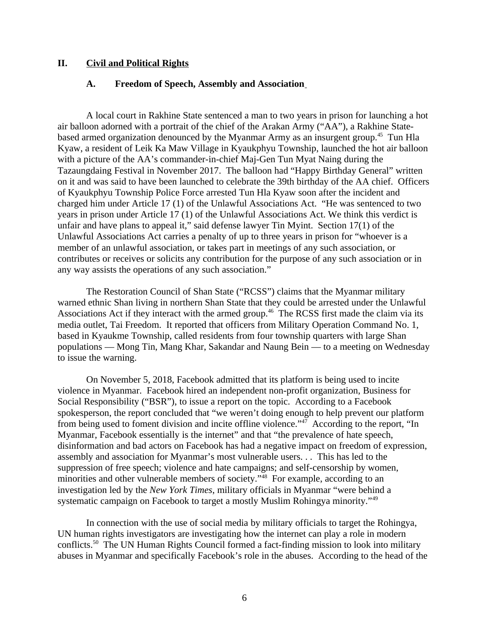#### **II. Civil and Political Rights**

#### <span id="page-5-1"></span><span id="page-5-0"></span>**A. Freedom of Speech, Assembly and Association**

A local court in Rakhine State sentenced a man to two years in prison for launching a hot air balloon adorned with a portrait of the chief of the Arakan Army ("AA"), a Rakhine Statebased armed organization denounced by the Myanmar Army as an insurgent group.<sup>45</sup> Tun Hla Kyaw, a resident of Leik Ka Maw Village in Kyaukphyu Township, launched the hot air balloon with a picture of the AA's commander-in-chief Maj-Gen Tun Myat Naing during the Tazaungdaing Festival in November 2017. The balloon had "Happy Birthday General" written on it and was said to have been launched to celebrate the 39th birthday of the AA chief. Officers of Kyaukphyu Township Police Force arrested Tun Hla Kyaw soon after the incident and charged him under Article 17 (1) of the Unlawful Associations Act. "He was sentenced to two years in prison under Article 17 (1) of the Unlawful Associations Act. We think this verdict is unfair and have plans to appeal it," said defense lawyer Tin Myint. Section 17(1) of the Unlawful Associations Act carries a penalty of up to three years in prison for "whoever is a member of an unlawful association, or takes part in meetings of any such association, or contributes or receives or solicits any contribution for the purpose of any such association or in any way assists the operations of any such association."

The Restoration Council of Shan State ("RCSS") claims that the Myanmar military warned ethnic Shan living in northern Shan State that they could be arrested under the Unlawful Associations Act if they interact with the armed group.<sup>46</sup> The RCSS first made the claim via its media outlet, Tai Freedom. It reported that officers from Military Operation Command No. 1, based in Kyaukme Township, called residents from four township quarters with large Shan populations — Mong Tin, Mang Khar, Sakandar and Naung Bein — to a meeting on Wednesday to issue the warning.

On November 5, 2018, Facebook admitted that its platform is being used to incite violence in Myanmar. Facebook hired an independent non-profit organization, Business for Social Responsibility ("BSR"), to issue a report on the topic. According to a Facebook spokesperson, the report concluded that "we weren't doing enough to help prevent our platform from being used to foment division and incite offline violence."<sup>47</sup> According to the report, "In Myanmar, Facebook essentially is the internet" and that "the prevalence of hate speech, disinformation and bad actors on Facebook has had a negative impact on freedom of expression, assembly and association for Myanmar's most vulnerable users. . . This has led to the suppression of free speech; violence and hate campaigns; and self-censorship by women, minorities and other vulnerable members of society."<sup>48</sup> For example, according to an investigation led by the *New York Times*, military officials in Myanmar "were behind a systematic campaign on Facebook to target a mostly Muslim Rohingya minority."<sup>49</sup>

In connection with the use of social media by military officials to target the Rohingya, UN human rights investigators are investigating how the internet can play a role in modern conflicts.<sup>50</sup> The UN Human Rights Council formed a fact-finding mission to look into military abuses in Myanmar and specifically Facebook's role in the abuses. According to the head of the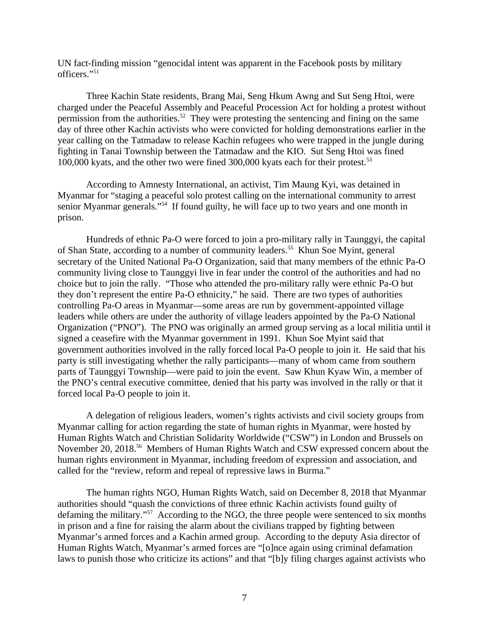UN fact-finding mission "genocidal intent was apparent in the Facebook posts by military officers."<sup>51</sup>

Three Kachin State residents, Brang Mai, Seng Hkum Awng and Sut Seng Htoi, were charged under the Peaceful Assembly and Peaceful Procession Act for holding a protest without permission from the authorities.<sup>52</sup> They were protesting the sentencing and fining on the same day of three other Kachin activists who were convicted for holding demonstrations earlier in the year calling on the Tatmadaw to release Kachin refugees who were trapped in the jungle during fighting in Tanai Township between the Tatmadaw and the KIO. Sut Seng Htoi was fined 100,000 kyats, and the other two were fined 300,000 kyats each for their protest.<sup>53</sup>

According to Amnesty International, an activist, Tim Maung Kyi, was detained in Myanmar for "staging a peaceful solo protest calling on the international community to arrest senior Myanmar generals."<sup>54</sup> If found guilty, he will face up to two years and one month in prison.

Hundreds of ethnic Pa-O were forced to join a pro-military rally in Taunggyi, the capital of Shan State, according to a number of community leaders.<sup>55</sup> Khun Soe Myint, general secretary of the United National Pa-O Organization, said that many members of the ethnic Pa-O community living close to Taunggyi live in fear under the control of the authorities and had no choice but to join the rally. "Those who attended the pro-military rally were ethnic Pa-O but they don't represent the entire Pa-O ethnicity," he said. There are two types of authorities controlling Pa-O areas in Myanmar—some areas are run by government-appointed village leaders while others are under the authority of village leaders appointed by the Pa-O National Organization ("PNO"). The PNO was originally an armed group serving as a local militia until it signed a ceasefire with the Myanmar government in 1991. Khun Soe Myint said that government authorities involved in the rally forced local Pa-O people to join it. He said that his party is still investigating whether the rally participants—many of whom came from southern parts of Taunggyi Township—were paid to join the event. Saw Khun Kyaw Win, a member of the PNO's central executive committee, denied that his party was involved in the rally or that it forced local Pa-O people to join it.

A delegation of religious leaders, women's rights activists and civil society groups from Myanmar calling for action regarding the state of human rights in Myanmar, were hosted by Human Rights Watch and Christian Solidarity Worldwide ("CSW") in London and Brussels on November 20, 2018.<sup>56</sup> Members of Human Rights Watch and CSW expressed concern about the human rights environment in Myanmar, including freedom of expression and association, and called for the "review, reform and repeal of repressive laws in Burma."

The human rights NGO, Human Rights Watch, said on December 8, 2018 that Myanmar authorities should "quash the convictions of three ethnic Kachin activists found guilty of defaming the military."<sup>57</sup> According to the NGO, the three people were sentenced to six months in prison and a fine for raising the alarm about the civilians trapped by fighting between Myanmar's armed forces and a Kachin armed group. According to the deputy Asia director of Human Rights Watch, Myanmar's armed forces are "[o]nce again using criminal defamation laws to punish those who criticize its actions" and that "[b]y filing charges against activists who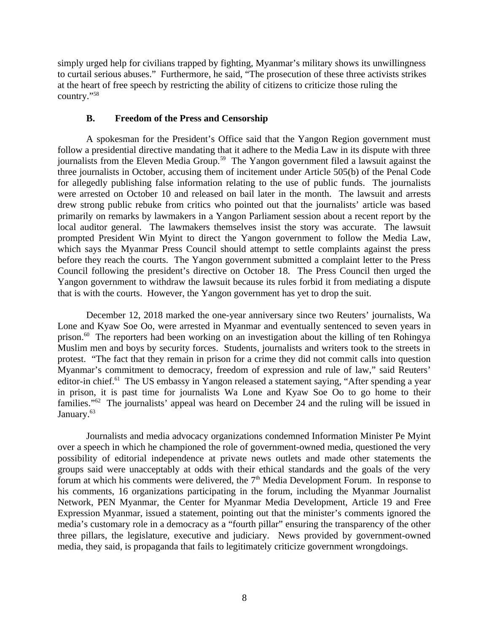simply urged help for civilians trapped by fighting, Myanmar's military shows its unwillingness to curtail serious abuses." Furthermore, he said, "The prosecution of these three activists strikes at the heart of free speech by restricting the ability of citizens to criticize those ruling the country."<sup>58</sup>

### <span id="page-7-0"></span>**B. Freedom of the Press and Censorship**

A spokesman for the President's Office said that the Yangon Region government must follow a presidential directive mandating that it adhere to the Media Law in its dispute with three journalists from the Eleven Media Group.<sup>59</sup> The Yangon government filed a lawsuit against the three journalists in October, accusing them of incitement under Article 505(b) of the Penal Code for allegedly publishing false information relating to the use of public funds. The journalists were arrested on October 10 and released on bail later in the month. The lawsuit and arrests drew strong public rebuke from critics who pointed out that the journalists' article was based primarily on remarks by lawmakers in a Yangon Parliament session about a recent report by the local auditor general. The lawmakers themselves insist the story was accurate. The lawsuit prompted President Win Myint to direct the Yangon government to follow the Media Law, which says the Myanmar Press Council should attempt to settle complaints against the press before they reach the courts. The Yangon government submitted a complaint letter to the Press Council following the president's directive on October 18. The Press Council then urged the Yangon government to withdraw the lawsuit because its rules forbid it from mediating a dispute that is with the courts. However, the Yangon government has yet to drop the suit.

December 12, 2018 marked the one-year anniversary since two Reuters' journalists, Wa Lone and Kyaw Soe Oo, were arrested in Myanmar and eventually sentenced to seven years in prison.<sup>60</sup> The reporters had been working on an investigation about the killing of ten Rohingya Muslim men and boys by security forces. Students, journalists and writers took to the streets in protest. "The fact that they remain in prison for a crime they did not commit calls into question Myanmar's commitment to democracy, freedom of expression and rule of law," said Reuters' editor-in chief.<sup>61</sup> The US embassy in Yangon released a statement saying, "After spending a year in prison, it is past time for journalists Wa Lone and Kyaw Soe Oo to go home to their families."<sup>62</sup> The journalists' appeal was heard on December 24 and the ruling will be issued in January.<sup>63</sup>

Journalists and media advocacy organizations condemned Information Minister Pe Myint over a speech in which he championed the role of government-owned media, questioned the very possibility of editorial independence at private news outlets and made other statements the groups said were unacceptably at odds with their ethical standards and the goals of the very forum at which his comments were delivered, the  $7<sup>th</sup>$  Media Development Forum. In response to his comments, 16 organizations participating in the forum, including the Myanmar Journalist Network, PEN Myanmar, the Center for Myanmar Media Development, Article 19 and Free Expression Myanmar, issued a statement, pointing out that the minister's comments ignored the media's customary role in a democracy as a "fourth pillar" ensuring the transparency of the other three pillars, the legislature, executive and judiciary. News provided by government-owned media, they said, is propaganda that fails to legitimately criticize government wrongdoings.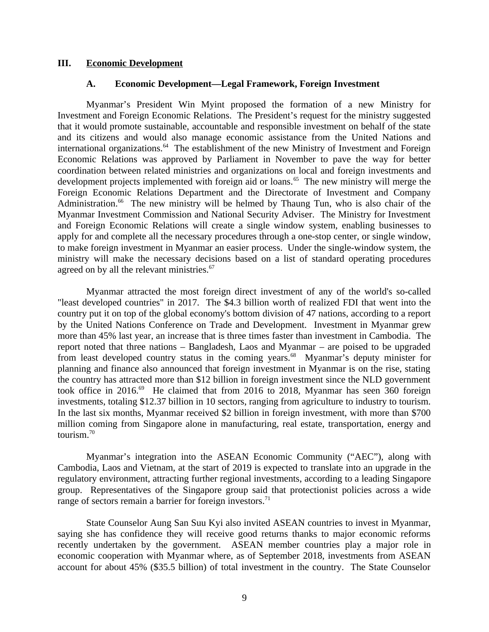#### **III. Economic Development**

#### <span id="page-8-1"></span><span id="page-8-0"></span>**A. Economic Development—Legal Framework, Foreign Investment**

Myanmar's President Win Myint proposed the formation of a new Ministry for Investment and Foreign Economic Relations. The President's request for the ministry suggested that it would promote sustainable, accountable and responsible investment on behalf of the state and its citizens and would also manage economic assistance from the United Nations and international organizations. $64$  The establishment of the new Ministry of Investment and Foreign Economic Relations was approved by Parliament in November to pave the way for better coordination between related ministries and organizations on local and foreign investments and development projects implemented with foreign aid or loans.<sup>65</sup> The new ministry will merge the Foreign Economic Relations Department and the Directorate of Investment and Company Administration.<sup>66</sup> The new ministry will be helmed by Thaung Tun, who is also chair of the Myanmar Investment Commission and National Security Adviser. The Ministry for Investment and Foreign Economic Relations will create a single window system, enabling businesses to apply for and complete all the necessary procedures through a one-stop center, or single window, to make foreign investment in Myanmar an easier process. Under the single-window system, the ministry will make the necessary decisions based on a list of standard operating procedures agreed on by all the relevant ministries.<sup>67</sup>

Myanmar attracted the most foreign direct investment of any of the world's so-called "least developed countries" in 2017. The \$4.3 billion worth of realized FDI that went into the country put it on top of the global economy's bottom division of 47 nations, according to a report by the United Nations Conference on Trade and Development. Investment in Myanmar grew more than 45% last year, an increase that is three times faster than investment in Cambodia. The report noted that three nations – Bangladesh, Laos and Myanmar – are poised to be upgraded from least developed country status in the coming years.<sup>68</sup> Myanmar's deputy minister for planning and finance also announced that foreign investment in Myanmar is on the rise, stating the country has attracted more than \$12 billion in foreign investment since the NLD government took office in 2016.<sup>69</sup> He claimed that from 2016 to 2018, Myanmar has seen 360 foreign investments, totaling \$12.37 billion in 10 sectors, ranging from agriculture to industry to tourism. In the last six months, Myanmar received \$2 billion in foreign investment, with more than \$700 million coming from Singapore alone in manufacturing, real estate, transportation, energy and tourism.<sup>70</sup>

Myanmar's integration into the ASEAN Economic Community ("AEC"), along with Cambodia, Laos and Vietnam, at the start of 2019 is expected to translate into an upgrade in the regulatory environment, attracting further regional investments, according to a leading Singapore group. Representatives of the Singapore group said that protectionist policies across a wide range of sectors remain a barrier for foreign investors. $71$ 

State Counselor Aung San Suu Kyi also invited ASEAN countries to invest in Myanmar, saying she has confidence they will receive good returns thanks to major economic reforms recently undertaken by the government. ASEAN member countries play a major role in economic cooperation with Myanmar where, as of September 2018, investments from ASEAN account for about 45% (\$35.5 billion) of total investment in the country. The State Counselor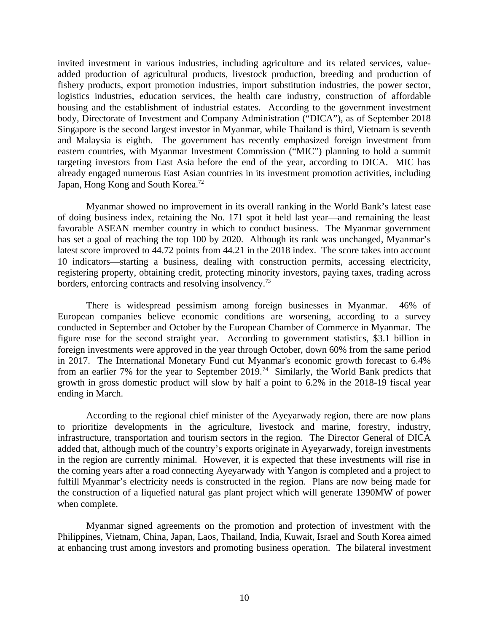invited investment in various industries, including agriculture and its related services, valueadded production of agricultural products, livestock production, breeding and production of fishery products, export promotion industries, import substitution industries, the power sector, logistics industries, education services, the health care industry, construction of affordable housing and the establishment of industrial estates. According to the government investment body, Directorate of Investment and Company Administration ("DICA"), as of September 2018 Singapore is the second largest investor in Myanmar, while Thailand is third, Vietnam is seventh and Malaysia is eighth. The government has recently emphasized foreign investment from eastern countries, with Myanmar Investment Commission ("MIC") planning to hold a summit targeting investors from East Asia before the end of the year, according to DICA. MIC has already engaged numerous East Asian countries in its investment promotion activities, including Japan, Hong Kong and South Korea.<sup>72</sup>

Myanmar showed no improvement in its overall ranking in the World Bank's latest ease of doing business index, retaining the No. 171 spot it held last year—and remaining the least favorable ASEAN member country in which to conduct business. The Myanmar government has set a goal of reaching the top 100 by 2020. Although its rank was unchanged, Myanmar's latest score improved to 44.72 points from 44.21 in the 2018 index. The score takes into account 10 indicators—starting a business, dealing with construction permits, accessing electricity, registering property, obtaining credit, protecting minority investors, paying taxes, trading across borders, enforcing contracts and resolving insolvency.<sup>73</sup>

There is widespread pessimism among foreign businesses in Myanmar. 46% of European companies believe economic conditions are worsening, according to a survey conducted in September and October by the European Chamber of Commerce in Myanmar. The figure rose for the second straight year. According to government statistics, \$3.1 billion in foreign investments were approved in the year through October, down 60% from the same period in 2017. The International Monetary Fund cut Myanmar's economic growth forecast to 6.4% from an earlier 7% for the year to September 2019.<sup>74</sup> Similarly, the World Bank predicts that growth in gross domestic product will slow by half a point to 6.2% in the 2018-19 fiscal year ending in March.

According to the regional chief minister of the Ayeyarwady region, there are now plans to prioritize developments in the agriculture, livestock and marine, forestry, industry, infrastructure, transportation and tourism sectors in the region. The Director General of DICA added that, although much of the country's exports originate in Ayeyarwady, foreign investments in the region are currently minimal. However, it is expected that these investments will rise in the coming years after a road connecting Ayeyarwady with Yangon is completed and a project to fulfill Myanmar's electricity needs is constructed in the region. Plans are now being made for the construction of a liquefied natural gas plant project which will generate 1390MW of power when complete.

Myanmar signed agreements on the promotion and protection of investment with the Philippines, Vietnam, China, Japan, Laos, Thailand, India, Kuwait, Israel and South Korea aimed at enhancing trust among investors and promoting business operation. The bilateral investment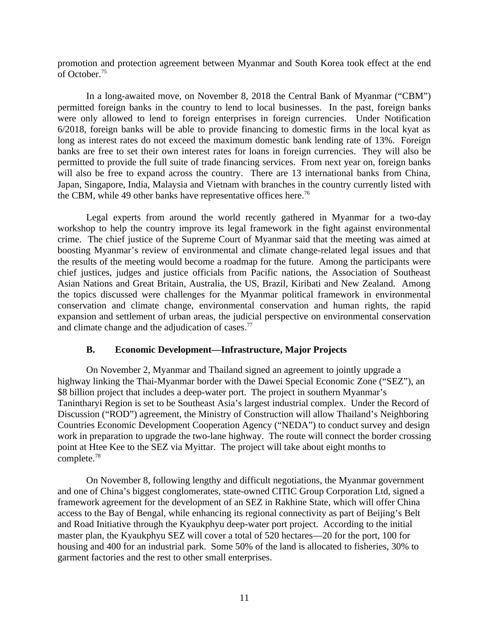promotion and protection agreement between Myanmar and South Korea took effect at the end of October.<sup>75</sup>

In a long-awaited move, on November 8, 2018 the Central Bank of Myanmar ("CBM") permitted foreign banks in the country to lend to local businesses. In the past, foreign banks were only allowed to lend to foreign enterprises in foreign currencies. Under Notification 6/2018, foreign banks will be able to provide financing to domestic firms in the local kyat as long as interest rates do not exceed the maximum domestic bank lending rate of 13%. Foreign banks are free to set their own interest rates for loans in foreign currencies. They will also be permitted to provide the full suite of trade financing services. From next year on, foreign banks will also be free to expand across the country. There are 13 international banks from China, Japan, Singapore, India, Malaysia and Vietnam with branches in the country currently listed with the CBM, while 49 other banks have representative offices here.<sup>76</sup>

Legal experts from around the world recently gathered in Myanmar for a two-day workshop to help the country improve its legal framework in the fight against environmental crime. The chief justice of the Supreme Court of Myanmar said that the meeting was aimed at boosting Myanmar's review of environmental and climate change-related legal issues and that the results of the meeting would become a roadmap for the future. Among the participants were chief justices, judges and justice officials from Pacific nations, the Association of Southeast Asian Nations and Great Britain, Australia, the US, Brazil, Kiribati and New Zealand. Among the topics discussed were challenges for the Myanmar political framework in environmental conservation and climate change, environmental conservation and human rights, the rapid expansion and settlement of urban areas, the judicial perspective on environmental conservation and climate change and the adjudication of cases. $77$ 

### <span id="page-10-0"></span>**B. Economic Development—Infrastructure, Major Projects**

On November 2, Myanmar and Thailand signed an agreement to jointly upgrade a highway linking the Thai-Myanmar border with the Dawei Special Economic Zone ("SEZ"), an \$8 billion project that includes a deep-water port. The project in southern Myanmar's Tanintharyi Region is set to be Southeast Asia's largest industrial complex. Under the Record of Discussion ("ROD") agreement, the Ministry of Construction will allow Thailand's Neighboring Countries Economic Development Cooperation Agency ("NEDA") to conduct survey and design work in preparation to upgrade the two-lane highway. The route will connect the border crossing point at Htee Kee to the SEZ via Myittar. The project will take about eight months to complete.<sup>78</sup>

On November 8, following lengthy and difficult negotiations, the Myanmar government and one of China's biggest conglomerates, state-owned CITIC Group Corporation Ltd, signed a framework agreement for the development of an SEZ in Rakhine State, which will offer China access to the Bay of Bengal, while enhancing its regional connectivity as part of Beijing's Belt and Road Initiative through the Kyaukphyu deep-water port project. According to the initial master plan, the Kyaukphyu SEZ will cover a total of 520 hectares—20 for the port, 100 for housing and 400 for an industrial park. Some 50% of the land is allocated to fisheries, 30% to garment factories and the rest to other small enterprises.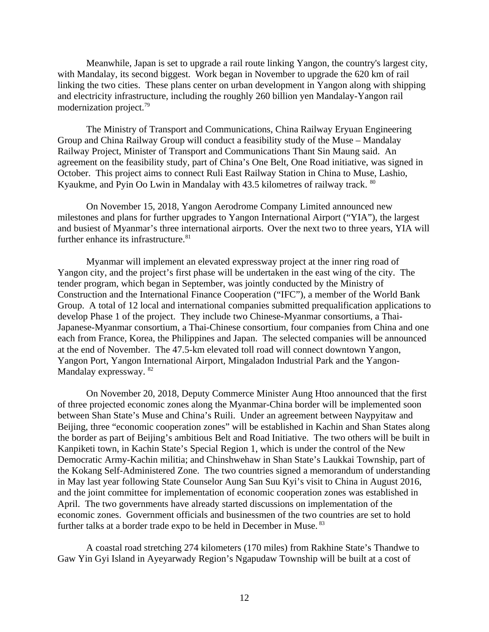Meanwhile, Japan is set to upgrade a rail route linking Yangon, the country's largest city, with Mandalay, its second biggest. Work began in November to upgrade the 620 km of rail linking the two cities. These plans center on urban development in Yangon along with shipping and electricity infrastructure, including the roughly 260 billion yen Mandalay-Yangon rail modernization project.<sup>79</sup>

The Ministry of Transport and Communications, China Railway Eryuan Engineering Group and China Railway Group will conduct a feasibility study of the Muse – Mandalay Railway Project, Minister of Transport and Communications Thant Sin Maung said. An agreement on the feasibility study, part of China's One Belt, One Road initiative, was signed in October. This project aims to connect Ruli East Railway Station in China to Muse, Lashio, Kyaukme, and Pyin Oo Lwin in Mandalay with 43.5 kilometres of railway track. <sup>80</sup>

On November 15, 2018, Yangon Aerodrome Company Limited announced new milestones and plans for further upgrades to Yangon International Airport ("YIA"), the largest and busiest of Myanmar's three international airports. Over the next two to three years, YIA will further enhance its infrastructure. $81$ 

Myanmar will implement an elevated expressway project at the inner ring road of Yangon city, and the project's first phase will be undertaken in the east wing of the city. The tender program, which began in September, was jointly conducted by the Ministry of Construction and the International Finance Cooperation ("IFC"), a member of the World Bank Group. A total of 12 local and international companies submitted prequalification applications to develop Phase 1 of the project. They include two Chinese-Myanmar consortiums, a Thai-Japanese-Myanmar consortium, a Thai-Chinese consortium, four companies from China and one each from France, Korea, the Philippines and Japan. The selected companies will be announced at the end of November. The 47.5-km elevated toll road will connect downtown Yangon, Yangon Port, Yangon International Airport, Mingaladon Industrial Park and the Yangon-Mandalay expressway. <sup>82</sup>

On November 20, 2018, Deputy Commerce Minister Aung Htoo announced that the first of three projected economic zones along the Myanmar-China border will be implemented soon between Shan State's Muse and China's Ruili. Under an agreement between Naypyitaw and Beijing, three "economic cooperation zones" will be established in Kachin and Shan States along the border as part of Beijing's ambitious Belt and Road Initiative. The two others will be built in Kanpiketi town, in Kachin State's Special Region 1, which is under the control of the New Democratic Army-Kachin militia; and Chinshwehaw in Shan State's Laukkai Township, part of the Kokang Self-Administered Zone. The two countries signed a memorandum of understanding in May last year following State Counselor Aung San Suu Kyi's visit to China in August 2016, and the joint committee for implementation of economic cooperation zones was established in April. The two governments have already started discussions on implementation of the economic zones. Government officials and businessmen of the two countries are set to hold further talks at a border trade expo to be held in December in Muse.<sup>83</sup>

A coastal road stretching 274 kilometers (170 miles) from Rakhine State's Thandwe to Gaw Yin Gyi Island in Ayeyarwady Region's Ngapudaw Township will be built at a cost of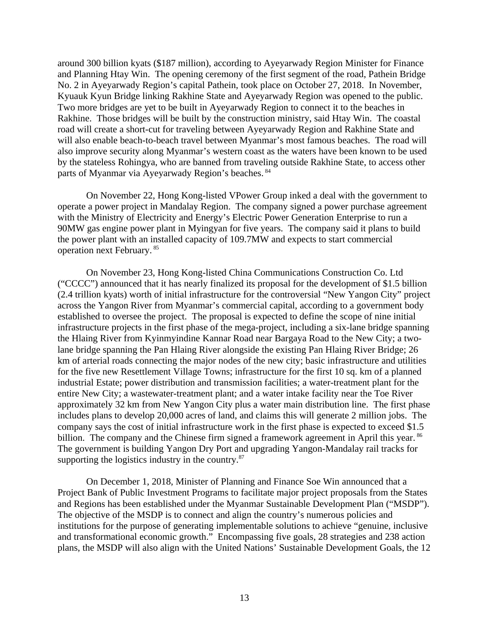around 300 billion kyats (\$187 million), according to Ayeyarwady Region Minister for Finance and Planning Htay Win. The opening ceremony of the first segment of the road, Pathein Bridge No. 2 in Ayeyarwady Region's capital Pathein, took place on October 27, 2018. In November, Kyuauk Kyun Bridge linking Rakhine State and Ayeyarwady Region was opened to the public. Two more bridges are yet to be built in Ayeyarwady Region to connect it to the beaches in Rakhine. Those bridges will be built by the construction ministry, said Htay Win. The coastal road will create a short-cut for traveling between Ayeyarwady Region and Rakhine State and will also enable beach-to-beach travel between Myanmar's most famous beaches. The road will also improve security along Myanmar's western coast as the waters have been known to be used by the stateless Rohingya, who are banned from traveling outside Rakhine State, to access other parts of Myanmar via Ayeyarwady Region's beaches. <sup>84</sup>

On November 22, Hong Kong-listed VPower Group inked a deal with the government to operate a power project in Mandalay Region. The company signed a power purchase agreement with the Ministry of Electricity and Energy's Electric Power Generation Enterprise to run a 90MW gas engine power plant in Myingyan for five years. The company said it plans to build the power plant with an installed capacity of 109.7MW and expects to start commercial operation next February. <sup>85</sup>

On November 23, Hong Kong-listed China Communications Construction Co. Ltd ("CCCC") announced that it has nearly finalized its proposal for the development of \$1.5 billion (2.4 trillion kyats) worth of initial infrastructure for the controversial "New Yangon City" project across the Yangon River from Myanmar's commercial capital, according to a government body established to oversee the project. The proposal is expected to define the scope of nine initial infrastructure projects in the first phase of the mega-project, including a six-lane bridge spanning the Hlaing River from Kyinmyindine Kannar Road near Bargaya Road to the New City; a twolane bridge spanning the Pan Hlaing River alongside the existing Pan Hlaing River Bridge; 26 km of arterial roads connecting the major nodes of the new city; basic infrastructure and utilities for the five new Resettlement Village Towns; infrastructure for the first 10 sq. km of a planned industrial Estate; power distribution and transmission facilities; a water-treatment plant for the entire New City; a wastewater-treatment plant; and a water intake facility near the Toe River approximately 32 km from New Yangon City plus a water main distribution line. The first phase includes plans to develop 20,000 acres of land, and claims this will generate 2 million jobs. The company says the cost of initial infrastructure work in the first phase is expected to exceed \$1.5 billion. The company and the Chinese firm signed a framework agreement in April this year. <sup>86</sup> The government is building Yangon Dry Port and upgrading Yangon-Mandalay rail tracks for supporting the logistics industry in the country. $87$ 

On December 1, 2018, Minister of Planning and Finance Soe Win announced that a Project Bank of Public Investment Programs to facilitate major project proposals from the States and Regions has been established under the Myanmar Sustainable Development Plan ("MSDP"). The objective of the MSDP is to connect and align the country's numerous policies and institutions for the purpose of generating implementable solutions to achieve "genuine, inclusive and transformational economic growth." Encompassing five goals, 28 strategies and 238 action plans, the MSDP will also align with the United Nations' Sustainable Development Goals, the 12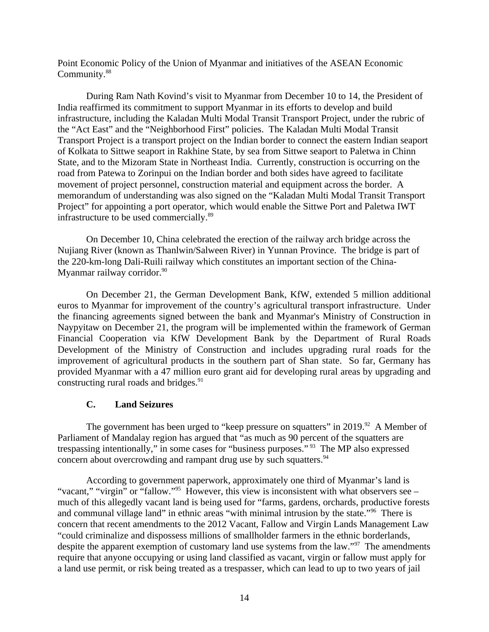Point Economic Policy of the Union of Myanmar and initiatives of the ASEAN Economic Community.<sup>88</sup>

During Ram Nath Kovind's visit to Myanmar from December 10 to 14, the President of India reaffirmed its commitment to support Myanmar in its efforts to develop and build infrastructure, including the Kaladan Multi Modal Transit Transport Project, under the rubric of the "Act East" and the "Neighborhood First" policies. The Kaladan Multi Modal Transit Transport Project is a transport project on the Indian border to connect the eastern Indian seaport of Kolkata to Sittwe seaport in Rakhine State, by sea from Sittwe seaport to Paletwa in Chinn State, and to the Mizoram State in Northeast India. Currently, construction is occurring on the road from Patewa to Zorinpui on the Indian border and both sides have agreed to facilitate movement of project personnel, construction material and equipment across the border. A memorandum of understanding was also signed on the "Kaladan Multi Modal Transit Transport Project" for appointing a port operator, which would enable the Sittwe Port and Paletwa IWT infrastructure to be used commercially.<sup>89</sup>

On December 10, China celebrated the erection of the railway arch bridge across the Nujiang River (known as Thanlwin/Salween River) in Yunnan Province. The bridge is part of the 220-km-long Dali-Ruili railway which constitutes an important section of the China-Myanmar railway corridor.<sup>90</sup>

On December 21, the German Development Bank, KfW, extended 5 million additional euros to Myanmar for improvement of the country's agricultural transport infrastructure. Under the financing agreements signed between the bank and Myanmar's Ministry of Construction in Naypyitaw on December 21, the program will be implemented within the framework of German Financial Cooperation via KfW Development Bank by the Department of Rural Roads Development of the Ministry of Construction and includes upgrading rural roads for the improvement of agricultural products in the southern part of Shan state. So far, Germany has provided Myanmar with a 47 million euro grant aid for developing rural areas by upgrading and constructing rural roads and bridges. $91$ 

# **C. Land Seizures**

The government has been urged to "keep pressure on squatters" in 2019.  $92$  A Member of Parliament of Mandalay region has argued that "as much as 90 percent of the squatters are trespassing intentionally," in some cases for "business purposes." <sup>93</sup> The MP also expressed concern about overcrowding and rampant drug use by such squatters.<sup>94</sup>

According to government paperwork, approximately one third of Myanmar's land is "vacant," "virgin" or "fallow."<sup>95</sup> However, this view is inconsistent with what observers see – much of this allegedly vacant land is being used for "farms, gardens, orchards, productive forests and communal village land" in ethnic areas "with minimal intrusion by the state."<sup>96</sup> There is concern that recent amendments to the 2012 Vacant, Fallow and Virgin Lands Management Law "could criminalize and dispossess millions of smallholder farmers in the ethnic borderlands, despite the apparent exemption of customary land use systems from the law."<sup>97</sup> The amendments require that anyone occupying or using land classified as vacant, virgin or fallow must apply for a land use permit, or risk being treated as a trespasser, which can lead to up to two years of jail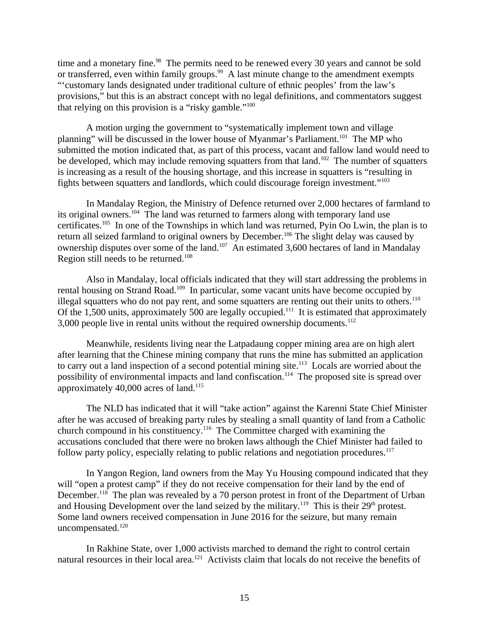time and a monetary fine. $98$  The permits need to be renewed every 30 years and cannot be sold or transferred, even within family groups.<sup>99</sup> A last minute change to the amendment exempts "'customary lands designated under traditional culture of ethnic peoples' from the law's provisions," but this is an abstract concept with no legal definitions, and commentators suggest that relying on this provision is a "risky gamble." $100$ 

A motion urging the government to "systematically implement town and village planning" will be discussed in the lower house of Myanmar's Parliament.<sup>101</sup> The MP who submitted the motion indicated that, as part of this process, vacant and fallow land would need to be developed, which may include removing squatters from that land.<sup>102</sup> The number of squatters is increasing as a result of the housing shortage, and this increase in squatters is "resulting in fights between squatters and landlords, which could discourage foreign investment."<sup>103</sup>

In Mandalay Region, the Ministry of Defence returned over 2,000 hectares of farmland to its original owners.<sup>104</sup> The land was returned to farmers along with temporary land use certificates.<sup>105</sup> In one of the Townships in which land was returned, Pyin Oo Lwin, the plan is to return all seized farmland to original owners by December.<sup>106</sup> The slight delay was caused by ownership disputes over some of the land.<sup>107</sup> An estimated 3,600 hectares of land in Mandalay Region still needs to be returned.<sup>108</sup>

Also in Mandalay, local officials indicated that they will start addressing the problems in rental housing on Strand Road.<sup>109</sup> In particular, some vacant units have become occupied by illegal squatters who do not pay rent, and some squatters are renting out their units to others.<sup>110</sup> Of the 1,500 units, approximately 500 are legally occupied.<sup>111</sup> It is estimated that approximately 3,000 people live in rental units without the required ownership documents. $112$ 

Meanwhile, residents living near the Latpadaung copper mining area are on high alert after learning that the Chinese mining company that runs the mine has submitted an application to carry out a land inspection of a second potential mining site.<sup>113</sup> Locals are worried about the possibility of environmental impacts and land confiscation.<sup>114</sup> The proposed site is spread over approximately  $40,000$  acres of land.<sup>115</sup>

The NLD has indicated that it will "take action" against the Karenni State Chief Minister after he was accused of breaking party rules by stealing a small quantity of land from a Catholic church compound in his constituency.<sup>116</sup> The Committee charged with examining the accusations concluded that there were no broken laws although the Chief Minister had failed to follow party policy, especially relating to public relations and negotiation procedures.<sup>117</sup>

In Yangon Region, land owners from the May Yu Housing compound indicated that they will "open a protest camp" if they do not receive compensation for their land by the end of December.<sup>118</sup> The plan was revealed by a 70 person protest in front of the Department of Urban and Housing Development over the land seized by the military.<sup>119</sup> This is their  $29<sup>th</sup>$  protest. Some land owners received compensation in June 2016 for the seizure, but many remain uncompensated.<sup>120</sup>

In Rakhine State, over 1,000 activists marched to demand the right to control certain natural resources in their local area.<sup>121</sup> Activists claim that locals do not receive the benefits of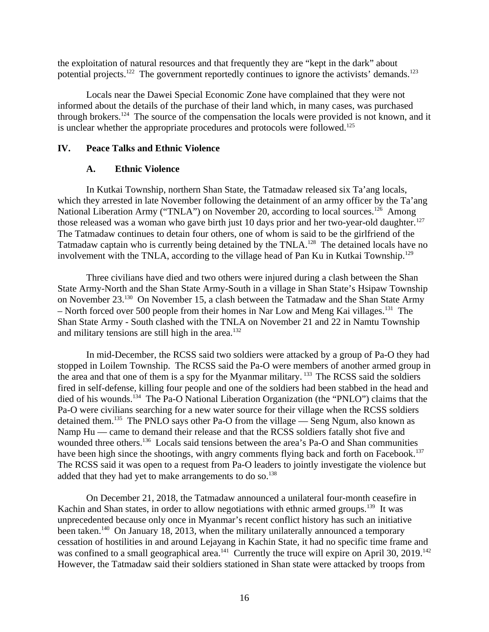the exploitation of natural resources and that frequently they are "kept in the dark" about potential projects.<sup>122</sup> The government reportedly continues to ignore the activists' demands.<sup>123</sup>

Locals near the Dawei Special Economic Zone have complained that they were not informed about the details of the purchase of their land which, in many cases, was purchased through brokers.<sup>124</sup> The source of the compensation the locals were provided is not known, and it is unclear whether the appropriate procedures and protocols were followed.<sup>125</sup>

## **IV. Peace Talks and Ethnic Violence**

## <span id="page-15-1"></span><span id="page-15-0"></span>**A. Ethnic Violence**

In Kutkai Township, northern Shan State, the Tatmadaw released six Ta'ang locals, which they arrested in late November following the detainment of an army officer by the Ta'ang National Liberation Army ("TNLA") on November 20, according to local sources.<sup>126</sup> Among those released was a woman who gave birth just 10 days prior and her two-year-old daughter.<sup>127</sup> The Tatmadaw continues to detain four others, one of whom is said to be the girlfriend of the Tatmadaw captain who is currently being detained by the TNLA.<sup>128</sup> The detained locals have no involvement with the TNLA, according to the village head of Pan Ku in Kutkai Township.<sup>129</sup>

Three civilians have died and two others were injured during a clash between the Shan State Army-North and the Shan State Army-South in a village in Shan State's Hsipaw Township on November 23.<sup>130</sup> On November 15, a clash between the Tatmadaw and the Shan State Army – North forced over 500 people from their homes in Nar Low and Meng Kai villages.<sup>131</sup> The Shan State Army - South clashed with the TNLA on November 21 and 22 in Namtu Township and military tensions are still high in the area. $132$ 

In mid-December, the RCSS said two soldiers were attacked by a group of Pa-O they had stopped in Loilem Township. The RCSS said the Pa-O were members of another armed group in the area and that one of them is a spy for the Myanmar military.<sup>133</sup> The RCSS said the soldiers fired in self-defense, killing four people and one of the soldiers had been stabbed in the head and died of his wounds.<sup>134</sup> The Pa-O National Liberation Organization (the "PNLO") claims that the Pa-O were civilians searching for a new water source for their village when the RCSS soldiers detained them.<sup>135</sup> The PNLO says other Pa-O from the village — Seng Ngum, also known as Namp Hu — came to demand their release and that the RCSS soldiers fatally shot five and wounded three others.<sup>136</sup> Locals said tensions between the area's Pa-O and Shan communities have been high since the shootings, with angry comments flying back and forth on Facebook.<sup>137</sup> The RCSS said it was open to a request from Pa-O leaders to jointly investigate the violence but added that they had yet to make arrangements to do so.<sup>138</sup>

On December 21, 2018, the Tatmadaw announced a unilateral four-month ceasefire in Kachin and Shan states, in order to allow negotiations with ethnic armed groups.<sup>139</sup> It was unprecedented because only once in Myanmar's recent conflict history has such an initiative been taken.<sup>140</sup> On January 18, 2013, when the military unilaterally announced a temporary cessation of hostilities in and around Lejayang in Kachin State, it had no specific time frame and was confined to a small geographical area.<sup>141</sup> Currently the truce will expire on April 30, 2019.<sup>142</sup> However, the Tatmadaw said their soldiers stationed in Shan state were attacked by troops from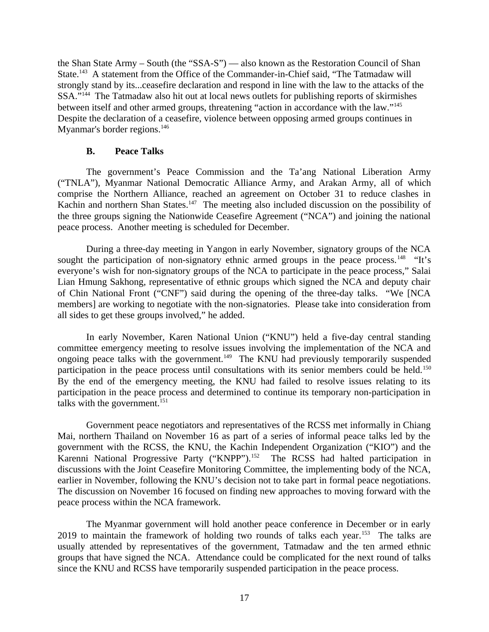the Shan State Army – South (the "SSA-S") — also known as the Restoration Council of Shan State.<sup>143</sup> A statement from the Office of the Commander-in-Chief said, "The Tatmadaw will strongly stand by its...ceasefire declaration and respond in line with the law to the attacks of the SSA."<sup>144</sup> The Tatmadaw also hit out at local news outlets for publishing reports of skirmishes between itself and other armed groups, threatening "action in accordance with the law."<sup>145</sup> Despite the declaration of a ceasefire, violence between opposing armed groups continues in Myanmar's border regions.<sup>146</sup>

### <span id="page-16-0"></span>**B. Peace Talks**

The government's Peace Commission and the Ta'ang National Liberation Army ("TNLA"), Myanmar National Democratic Alliance Army, and Arakan Army, all of which comprise the Northern Alliance, reached an agreement on October 31 to reduce clashes in Kachin and northern Shan States.<sup>147</sup> The meeting also included discussion on the possibility of the three groups signing the Nationwide Ceasefire Agreement ("NCA") and joining the national peace process. Another meeting is scheduled for December.

During a three-day meeting in Yangon in early November, signatory groups of the NCA sought the participation of non-signatory ethnic armed groups in the peace process.<sup>148</sup> "It's everyone's wish for non-signatory groups of the NCA to participate in the peace process," Salai Lian Hmung Sakhong, representative of ethnic groups which signed the NCA and deputy chair of Chin National Front ("CNF") said during the opening of the three-day talks. "We [NCA members] are working to negotiate with the non-signatories. Please take into consideration from all sides to get these groups involved," he added.

In early November, Karen National Union ("KNU") held a five-day central standing committee emergency meeting to resolve issues involving the implementation of the NCA and ongoing peace talks with the government.<sup>149</sup> The KNU had previously temporarily suspended participation in the peace process until consultations with its senior members could be held.<sup>150</sup> By the end of the emergency meeting, the KNU had failed to resolve issues relating to its participation in the peace process and determined to continue its temporary non-participation in talks with the government. $151$ 

Government peace negotiators and representatives of the RCSS met informally in Chiang Mai, northern Thailand on November 16 as part of a series of informal peace talks led by the government with the RCSS, the KNU, the Kachin Independent Organization ("KIO") and the Karenni National Progressive Party ("KNPP").<sup>152</sup> The RCSS had halted participation in discussions with the Joint Ceasefire Monitoring Committee, the implementing body of the NCA, earlier in November, following the KNU's decision not to take part in formal peace negotiations. The discussion on November 16 focused on finding new approaches to moving forward with the peace process within the NCA framework.

The Myanmar government will hold another peace conference in December or in early 2019 to maintain the framework of holding two rounds of talks each year.<sup>153</sup> The talks are usually attended by representatives of the government, Tatmadaw and the ten armed ethnic groups that have signed the NCA. Attendance could be complicated for the next round of talks since the KNU and RCSS have temporarily suspended participation in the peace process.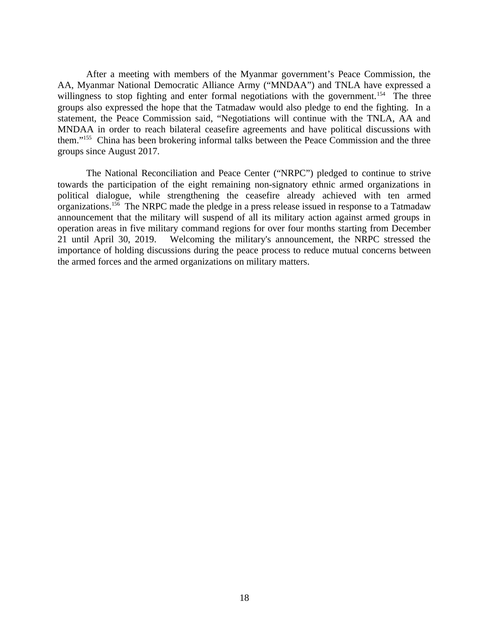After a meeting with members of the Myanmar government's Peace Commission, the AA, Myanmar National Democratic Alliance Army ("MNDAA") and TNLA have expressed a willingness to stop fighting and enter formal negotiations with the government.<sup>154</sup> The three groups also expressed the hope that the Tatmadaw would also pledge to end the fighting. In a statement, the Peace Commission said, "Negotiations will continue with the TNLA, AA and MNDAA in order to reach bilateral ceasefire agreements and have political discussions with them."<sup>155</sup> China has been brokering informal talks between the Peace Commission and the three groups since August 2017.

The National Reconciliation and Peace Center ("NRPC") pledged to continue to strive towards the participation of the eight remaining non-signatory ethnic armed organizations in political dialogue, while strengthening the ceasefire already achieved with ten armed organizations.<sup>156</sup> The NRPC made the pledge in a press release issued in response to a Tatmadaw announcement that the military will suspend of all its military action against armed groups in operation areas in five military command regions for over four months starting from December 21 until April 30, 2019. Welcoming the military's announcement, the NRPC stressed the importance of holding discussions during the peace process to reduce mutual concerns between the armed forces and the armed organizations on military matters.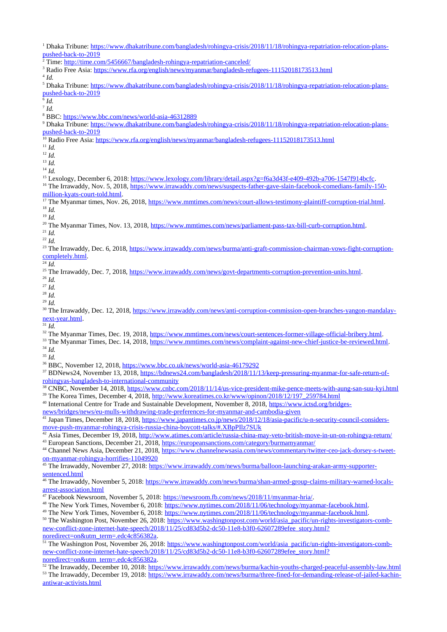<sup>3</sup> Radio Free Asia: <u><https://www.rfa.org/english/news/myanmar/bangladesh-refugees-11152018173513.html></u>

4 *Id.*

<sup>5</sup> Dhaka Tribune: [https://www.dhakatribune.com/bangladesh/rohingya-crisis/2018/11/18/rohingya-repatriation-relocation-plans](https://www.dhakatribune.com/bangladesh/rohingya-crisis/2018/11/18/rohingya-repatriation-relocation-plans-pushed-back-to-2019)[pushed-back-to-2019](https://www.dhakatribune.com/bangladesh/rohingya-crisis/2018/11/18/rohingya-repatriation-relocation-plans-pushed-back-to-2019)

6 *Id.* 

7 *Id.*

<sup>8</sup> BBC:<https://www.bbc.com/news/world-asia-46312889>

<sup>9</sup> Dhaka Tribune: [https://www.dhakatribune.com/bangladesh/rohingya-crisis/2018/11/18/rohingya-repatriation-relocation-plans](https://www.dhakatribune.com/bangladesh/rohingya-crisis/2018/11/18/rohingya-repatriation-relocation-plans-pushed-back-to-2019)[pushed-back-to-2019](https://www.dhakatribune.com/bangladesh/rohingya-crisis/2018/11/18/rohingya-repatriation-relocation-plans-pushed-back-to-2019)

<sup>10</sup> Radio Free Asia:<https://www.rfa.org/english/news/myanmar/bangladesh-refugees-11152018173513.html>

 $11$  *Id.* 

<sup>12</sup> *Id.*

 $13$  *Id.* 

<sup>14</sup> *Id.*

<sup>15</sup> Lexology, December 6, 2018:<https://www.lexology.com/library/detail.aspx?g=f6a3d43f-e409-492b-a706-1547f914bcfc>.

<sup>16</sup> The Irrawaddy, Nov. 5, 2018, [https://www.irrawaddy.com/news/suspects-father-gave-slain-facebook-comedians-family-150](https://www.irrawaddy.com/news/suspects-father-gave-slain-facebook-comedians-family-150-million-kyats-court-told.html) [million-kyats-court-told.html](https://www.irrawaddy.com/news/suspects-father-gave-slain-facebook-comedians-family-150-million-kyats-court-told.html).

<sup>17</sup> The Myanmar times, Nov. 26, 2018, <u><https://www.mmtimes.com/news/court-allows-testimony-plaintiff-corruption-trial.html></u>. <sup>18</sup> *Id.*

<sup>19</sup> *Id.*

<sup>20</sup> The Myanmar Times, Nov. 13, 2018, <https://www.mmtimes.com/news/parliament-pass-tax-bill-curb-corruption.html>.

<sup>21</sup> *Id.*

<sup>22</sup> *Id.*

<sup>23</sup> The Irrawaddy, Dec. 6, 2018, [https://www.irrawaddy.com/news/burma/anti-graft-commission-chairman-vows-fight-corruption](https://www.irrawaddy.com/news/burma/anti-graft-commission-chairman-vows-fight-corruption-completely.html)[completely.html.](https://www.irrawaddy.com/news/burma/anti-graft-commission-chairman-vows-fight-corruption-completely.html)

 $\overline{^{24}Id.}$ 

<sup>25</sup> The Irrawaddy, Dec. 7, 2018,<https://www.irrawaddy.com/news/govt-departments-corruption-prevention-units.html>.

<sup>26</sup> *Id.*

<sup>27</sup> *Id.*

<sup>28</sup> *Id.* <sup>29</sup> *Id.*

30 The Irrawaddy, Dec. 12, 2018, [https://www.irrawaddy.com/news/anti-corruption-commission-open-branches-yangon-mandalay](https://www.irrawaddy.com/news/anti-corruption-commission-open-branches-yangon-mandalay-next-year.html)[next-year.html.](https://www.irrawaddy.com/news/anti-corruption-commission-open-branches-yangon-mandalay-next-year.html)

 $\overline{\overline{\phantom{a}^{31}}}\,Id.$ 

<sup>32</sup> The Myanmar Times, Dec. 19, 2018, <u>https://www.mmtimes.com/news/court-sentences-former-village-official-bribery.html</u>.

<sup>33</sup> The Myanmar Times, Dec. 14, 2018, <https://www.mmtimes.com/news/complaint-against-new-chief-justice-be-reviewed.html>. <sup>34</sup> *Id.*

<sup>35</sup> *Id.*

<sup>36</sup> BBC, November 12, 2018, <https://www.bbc.co.uk/news/world-asia-46179292>

<sup>37</sup> BDNews24, November 13, 2018, [https://bdnews24.com/bangladesh/2018/11/13/keep-pressuring-myanmar-for-safe-return-of](https://bdnews24.com/bangladesh/2018/11/13/keep-pressuring-myanmar-for-safe-return-of-rohingyas-bangladesh-to-international-community)[rohingyas-bangladesh-to-international-community](https://bdnews24.com/bangladesh/2018/11/13/keep-pressuring-myanmar-for-safe-return-of-rohingyas-bangladesh-to-international-community)

<sup>38</sup> CNBC, November 14, 2018,<https://www.cnbc.com/2018/11/14/us-vice-president-mike-pence-meets-with-aung-san-suu-kyi.html> <sup>39</sup> The Korea Times, December 4, 2018, [http://www.koreatimes.co.kr/www/opinon/2018/12/197\\_259784.html](http://www.koreatimes.co.kr/www/opinon/2018/12/197_259784.html)

<sup>40</sup> International Centre for Trade and Sustainable Development, November 8, 2018, [https://www.ictsd.org/bridges](https://www.ictsd.org/bridges-news/bridges/news/eu-mulls-withdrawing-trade-preferences-for-myanmar-and-cambodia-given)[news/bridges/news/eu-mulls-withdrawing-trade-preferences-for-myanmar-and-cambodia-given](https://www.ictsd.org/bridges-news/bridges/news/eu-mulls-withdrawing-trade-preferences-for-myanmar-and-cambodia-given)

<sup>41</sup> Japan Times, December 18, 2018, [https://www.japantimes.co.jp/news/2018/12/18/asia-pacific/u-n-security-council-considers](https://www.japantimes.co.jp/news/2018/12/18/asia-pacific/u-n-security-council-considers-move-push-myanmar-rohingya-crisis-russia-china-boycott-talks/#.XBpPIlz7SUk)[move-push-myanmar-rohingya-crisis-russia-china-boycott-talks/#.XBpPIlz7SUk](https://www.japantimes.co.jp/news/2018/12/18/asia-pacific/u-n-security-council-considers-move-push-myanmar-rohingya-crisis-russia-china-boycott-talks/#.XBpPIlz7SUk)

<sup>42</sup> Asia Times, December 19, 2018,<http://www.atimes.com/article/russia-china-may-veto-british-move-in-un-on-rohingya-return/> <sup>43</sup> European Sanctions, December 21, 2018, <https://europeansanctions.com/category/burmamyanmar/>

<sup>44</sup> Channel News Asia, December 21, 2018, [https://www.channelnewsasia.com/news/commentary/twitter-ceo-jack-dorsey-s-tweet](https://www.channelnewsasia.com/news/commentary/twitter-ceo-jack-dorsey-s-tweet-on-myanmar-rohingya-horrifies-11049920)[on-myanmar-rohingya-horrifies-11049920](https://www.channelnewsasia.com/news/commentary/twitter-ceo-jack-dorsey-s-tweet-on-myanmar-rohingya-horrifies-11049920)

45 The Irrawaddy, November 27, 2018: [https://www.irrawaddy.com/news/burma/balloon-launching-arakan-army-supporter](https://www.irrawaddy.com/news/burma/balloon-launching-arakan-army-supporter-sentenced.html)[sentenced.html](https://www.irrawaddy.com/news/burma/balloon-launching-arakan-army-supporter-sentenced.html)

46 The Irrawaddy, November 5, 2018: [https://www.irrawaddy.com/news/burma/shan-armed-group-claims-military-warned-locals](https://www.irrawaddy.com/news/burma/shan-armed-group-claims-military-warned-locals-arrest-association.html)[arrest-association.html](https://www.irrawaddy.com/news/burma/shan-armed-group-claims-military-warned-locals-arrest-association.html)

<sup>47</sup> Facebook Newsroom, November 5, 2018:<https://newsroom.fb.com/news/2018/11/myanmar-hria/>.

<sup>48</sup> The New York Times, November 6, 2018: [https://www.nytimes.com/2018/11/06/technology/myanmar-facebook.html.](https://www.nytimes.com/2018/11/06/technology/myanmar-facebook.html)

<sup>49</sup> The New York Times, November 6, 2018: [https://www.nytimes.com/2018/11/06/technology/myanmar-facebook.html.](https://www.nytimes.com/2018/11/06/technology/myanmar-facebook.html)

<sup>50</sup> The Washington Post, November 26, 2018: [https://www.washingtonpost.com/world/asia\\_pacific/un-rights-investigators-comb](https://www.washingtonpost.com/world/asia_pacific/un-rights-investigators-comb-new-conflict-zone-internet-hate-speech/2018/11/25/cd83d5b2-dc50-11e8-b3f0-62607289efee_story.html?noredirect=on&utm_term=.edc4c856382a)[new-conflict-zone-internet-hate-speech/2018/11/25/cd83d5b2-dc50-11e8-b3f0-62607289efee\\_story.html?](https://www.washingtonpost.com/world/asia_pacific/un-rights-investigators-comb-new-conflict-zone-internet-hate-speech/2018/11/25/cd83d5b2-dc50-11e8-b3f0-62607289efee_story.html?noredirect=on&utm_term=.edc4c856382a) [noredirect=on&utm\\_term=.edc4c856382a.](https://www.washingtonpost.com/world/asia_pacific/un-rights-investigators-comb-new-conflict-zone-internet-hate-speech/2018/11/25/cd83d5b2-dc50-11e8-b3f0-62607289efee_story.html?noredirect=on&utm_term=.edc4c856382a)

<sup>51</sup> The Washington Post, November 26, 2018: [https://www.washingtonpost.com/world/asia\\_pacific/un-rights-investigators-comb](https://www.washingtonpost.com/world/asia_pacific/un-rights-investigators-comb-new-conflict-zone-internet-hate-speech/2018/11/25/cd83d5b2-dc50-11e8-b3f0-62607289efee_story.html?noredirect=on&utm_term=.edc4c856382a)[new-conflict-zone-internet-hate-speech/2018/11/25/cd83d5b2-dc50-11e8-b3f0-62607289efee\\_story.html?](https://www.washingtonpost.com/world/asia_pacific/un-rights-investigators-comb-new-conflict-zone-internet-hate-speech/2018/11/25/cd83d5b2-dc50-11e8-b3f0-62607289efee_story.html?noredirect=on&utm_term=.edc4c856382a) [noredirect=on&utm\\_term=.edc4c856382a.](https://www.washingtonpost.com/world/asia_pacific/un-rights-investigators-comb-new-conflict-zone-internet-hate-speech/2018/11/25/cd83d5b2-dc50-11e8-b3f0-62607289efee_story.html?noredirect=on&utm_term=.edc4c856382a)

<sup>52</sup> The Irrawaddy, December 10, 2018:<https://www.irrawaddy.com/news/burma/kachin-youths-charged-peaceful-assembly-law.html> 53 The Irrawaddy, December 19, 2018: [https://www.irrawaddy.com/news/burma/three-fined-for-demanding-release-of-jailed-kachin](https://www.irrawaddy.com/news/burma/three-fined-for-demanding-release-of-jailed-kachin-antiwar-activists.html)[antiwar-activists.html](https://www.irrawaddy.com/news/burma/three-fined-for-demanding-release-of-jailed-kachin-antiwar-activists.html)

<sup>&</sup>lt;sup>1</sup> Dhaka Tribune: [https://www.dhakatribune.com/bangladesh/rohingya-crisis/2018/11/18/rohingya-repatriation-relocation-plans](https://www.dhakatribune.com/bangladesh/rohingya-crisis/2018/11/18/rohingya-repatriation-relocation-plans-pushed-back-to-2019)[pushed-back-to-2019](https://www.dhakatribune.com/bangladesh/rohingya-crisis/2018/11/18/rohingya-repatriation-relocation-plans-pushed-back-to-2019)

<sup>&</sup>lt;sup>2</sup> Time:<http://time.com/5456667/bangladesh-rohingya-repatriation-canceled/>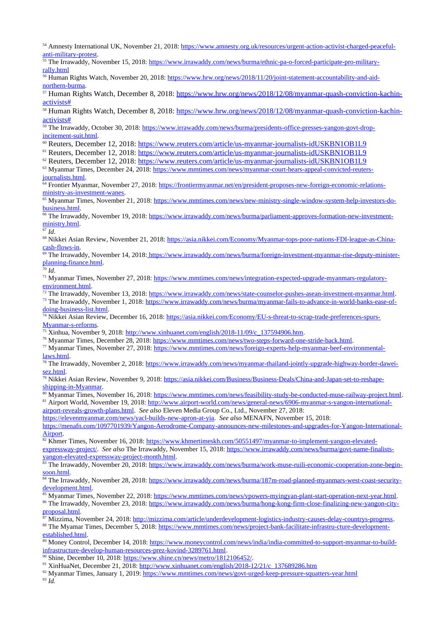<sup>54</sup> Amnesty International UK, November 21, 2018: [https://www.amnesty.org.uk/resources/urgent-action-activist-charged-peaceful](https://www.amnesty.org.uk/resources/urgent-action-activist-charged-peaceful-anti-military-protest)[anti-military-protest](https://www.amnesty.org.uk/resources/urgent-action-activist-charged-peaceful-anti-military-protest).

55 The Irrawaddy, November 15, 2018: [https://www.irrawaddy.com/news/burma/ethnic-pa-o-forced-participate-pro-military](https://www.irrawaddy.com/news/burma/ethnic-pa-o-forced-participate-pro-military-rally.html)[rally.html](https://www.irrawaddy.com/news/burma/ethnic-pa-o-forced-participate-pro-military-rally.html)

<sup>56</sup> Human Rights Watch, November 20, 2018: [https://www.hrw.org/news/2018/11/20/joint-statement-accountability-and-aid](https://www.hrw.org/news/2018/11/20/joint-statement-accountability-and-aid-northern-burma)[northern-burma](https://www.hrw.org/news/2018/11/20/joint-statement-accountability-and-aid-northern-burma).

<sup>57</sup> Human Rights Watch, December 8, 2018: [https://www.hrw.org/news/2018/12/08/myanmar-quash-conviction-kachin](https://www.hrw.org/news/2018/12/08/myanmar-quash-conviction-kachin-activists)[activists#](https://www.hrw.org/news/2018/12/08/myanmar-quash-conviction-kachin-activists)

<sup>58</sup> Human Rights Watch, December 8, 2018: [https://www.hrw.org/news/2018/12/08/myanmar-quash-conviction-kachin](https://www.hrw.org/news/2018/12/08/myanmar-quash-conviction-kachin-activists)[activists#](https://www.hrw.org/news/2018/12/08/myanmar-quash-conviction-kachin-activists)

<sup>59</sup> The Irrawaddy, October 30, 2018: [https://www.irrawaddy.com/news/burma/presidents-office-presses-yangon-govt-drop](https://www.irrawaddy.com/news/burma/presidents-office-presses-yangon-govt-drop-incitement-suit.html)[incitement-suit.html.](https://www.irrawaddy.com/news/burma/presidents-office-presses-yangon-govt-drop-incitement-suit.html)

<sup>60</sup> Reuters, December 12, 2018: <https://www.reuters.com/article/us-myanmar-journalists-idUSKBN1OB1L9>

<sup>61</sup> Reuters, December 12, 2018: <https://www.reuters.com/article/us-myanmar-journalists-idUSKBN1OB1L9>

<sup>62</sup> Reuters, December 12, 2018: <https://www.reuters.com/article/us-myanmar-journalists-idUSKBN1OB1L9>

<sup>63</sup> Myanmar Times, December 24, 2018: [https://www.mmtimes.com/news/myanmar-court-hears-appeal-convicted-reuters](https://www.mmtimes.com/news/myanmar-court-hears-appeal-convicted-reuters-journalists.html)[journalists.html](https://www.mmtimes.com/news/myanmar-court-hears-appeal-convicted-reuters-journalists.html).

<sup>64</sup> Frontier Myanmar, November 27, 2018: [https://frontiermyanmar.net/en/president-proposes-new-foreign-economic-relations](https://frontiermyanmar.net/en/president-proposes-new-foreign-economic-relations-ministry-as-investment-wanes)[ministry-as-investment-wanes](https://frontiermyanmar.net/en/president-proposes-new-foreign-economic-relations-ministry-as-investment-wanes).

<sup>65</sup> Myanmar Times, November 21, 2018: [https://www.mmtimes.com/news/new-ministry-single-window-system-help-investors-do](https://www.mmtimes.com/news/new-ministry-single-window-system-help-investors-do-business.html)[business.html](https://www.mmtimes.com/news/new-ministry-single-window-system-help-investors-do-business.html).

<sup>66</sup> The Irrawaddy, November 19, 2018: [https://www.irrawaddy.com/news/burma/parliament-approves-formation-new-investment](https://www.irrawaddy.com/news/burma/parliament-approves-formation-new-investment-ministry.html)[ministry.html.](https://www.irrawaddy.com/news/burma/parliament-approves-formation-new-investment-ministry.html)

<sup>67</sup> *Id*.

<sup>68</sup> Nikkei Asian Review, November 21, 2018: [https://asia.nikkei.com/Economy/Myanmar-tops-poor-nations-FDI-league-as-China](https://asia.nikkei.com/Economy/Myanmar-tops-poor-nations-FDI-league-as-China-cash-flows-in)[cash-flows-in.](https://asia.nikkei.com/Economy/Myanmar-tops-poor-nations-FDI-league-as-China-cash-flows-in)

<sup>69</sup> The Irrawaddy, November 14, 2018: https://www.irrawaddy.com/news/burma/foreign-investment-myanmar-rise-deputy-ministerplanning-finance.html.

<sup>70</sup> *Id*.

<sup>71</sup> Myanmar Times, November 27, 2018: [https://www.mmtimes.com/news/integration-expected-upgrade-myanmars-regulatory](https://www.mmtimes.com/news/integration-expected-upgrade-myanmars-regulatory-environment.html)[environment.html](https://www.mmtimes.com/news/integration-expected-upgrade-myanmars-regulatory-environment.html).

<sup>72</sup> The Irrawaddy, November 13, 2018:<https://www.irrawaddy.com/news/state-counselor-pushes-asean-investment-myanmar.html>. <sup>73</sup> The Irrawaddy, November 1, 2018: [https://www.irrawaddy.com/news/burma/myanmar-fails-to-advance-in-world-banks-ease-of-](https://www.irrawaddy.com/news/burma/myanmar-fails-to-advance-in-world-banks-ease-of-doing-business-list.html)

[doing-business-list.html.](https://www.irrawaddy.com/news/burma/myanmar-fails-to-advance-in-world-banks-ease-of-doing-business-list.html)

<sup>74</sup> Nikkei Asian Review, December 16, 2018: [https://asia.nikkei.com/Economy/EU-s-threat-to-scrap-trade-preferences-spurs-](https://asia.nikkei.com/Economy/EU-s-threat-to-scrap-trade-preferences-spurs-Myanmar-s-reforms)[Myanmar-s-reforms](https://asia.nikkei.com/Economy/EU-s-threat-to-scrap-trade-preferences-spurs-Myanmar-s-reforms).

<sup>75</sup> Xinhua, November 9, 2018: [http://www.xinhuanet.com/english/2018-11/09/c\\_137594906.htm](http://www.xinhuanet.com/english/2018-11/09/c_137594906.htm).

<sup>76</sup> Myanmar Times, December 28, 2018: <https://www.mmtimes.com/news/two-steps-forward-one-stride-back.html>.

<sup>77</sup> Myanmar Times, November 27, 2018: [https://www.mmtimes.com/news/foreign-experts-help-myanmar-beef-environmental-](https://www.mmtimes.com/news/foreign-experts-help-myanmar-beef-environmental-laws.html)

[laws.html](https://www.mmtimes.com/news/foreign-experts-help-myanmar-beef-environmental-laws.html).

<sup>78</sup> The Irrawaddy, November 2, 2018: [https://www.irrawaddy.com/news/myanmar-thailand-jointly-upgrade-highway-border-dawei](https://www.irrawaddy.com/news/myanmar-thailand-jointly-upgrade-highway-border-dawei-sez.html)[sez.html](https://www.irrawaddy.com/news/myanmar-thailand-jointly-upgrade-highway-border-dawei-sez.html).

<sup>79</sup> Nikkei Asian Review, November 9, 2018: [https://asia.nikkei.com/Business/Business-Deals/China-and-Japan-set-to-reshape](https://asia.nikkei.com/Business/Business-Deals/China-and-Japan-set-to-reshape-shipping-in-Myanmar)[shipping-in-Myanmar.](https://asia.nikkei.com/Business/Business-Deals/China-and-Japan-set-to-reshape-shipping-in-Myanmar)

<sup>80</sup> Myanmar Times, November 16, 2018: <https://www.mmtimes.com/news/feasibility-study-be-conducted-muse-railway-project.html>. <sup>81</sup> Airport World, November 19, 2018: [http://www.airport-world.com/news/general-news/6906-myanmar-s-yangon-international](http://www.airport-world.com/news/general-news/6906-myanmar-s-yangon-international-airport-reveals-growth-plans.html)[airport-reveals-growth-plans.html](http://www.airport-world.com/news/general-news/6906-myanmar-s-yangon-international-airport-reveals-growth-plans.html). *See also* Eleven Media Group Co., Ltd., November 27, 2018:

<https://elevenmyanmar.com/news/yacl-builds-new-apron-at-yia>. *See also* MENAFN, November 15, 2018:

[https://menafn.com/1097701939/Yangon-Aerodrome-Company-announces-new-milestones-and-upgrades-for-Yangon-International-](https://menafn.com/1097701939/Yangon-Aerodrome-Company-announces-new-milestones-and-upgrades-for-Yangon-International-Airport)[Airport](https://menafn.com/1097701939/Yangon-Aerodrome-Company-announces-new-milestones-and-upgrades-for-Yangon-International-Airport).

<sup>82</sup> Khmer Times, November 16, 2018: [https://www.khmertimeskh.com/50551497/myanmar-to-implement-yangon-elevated](https://www.khmertimeskh.com/50551497/myanmar-to-implement-yangon-elevated-expressway-project/)[expressway-project/](https://www.khmertimeskh.com/50551497/myanmar-to-implement-yangon-elevated-expressway-project/). *See also* The Irrawaddy, November 15, 2018: [https://www.irrawaddy.com/news/burma/govt-name-finalists](https://www.irrawaddy.com/news/burma/govt-name-finalists-yangon-elevated-expressway-project-month.html)[yangon-elevated-expressway-project-month.html](https://www.irrawaddy.com/news/burma/govt-name-finalists-yangon-elevated-expressway-project-month.html).

<sup>83</sup> The Irrawaddy, November 20, 2018: [https://www.irrawaddy.com/news/burma/work-muse-ruili-economic-cooperation-zone-begin](https://www.irrawaddy.com/news/burma/work-muse-ruili-economic-cooperation-zone-begin-soon.html)[soon.html.](https://www.irrawaddy.com/news/burma/work-muse-ruili-economic-cooperation-zone-begin-soon.html)

<sup>84</sup> The Irrawaddy, November 28, 2018: [https://www.irrawaddy.com/news/burma/187m-road-planned-myanmars-west-coast-security](https://www.irrawaddy.com/news/burma/187m-road-planned-myanmars-west-coast-security-development.html)[development.html](https://www.irrawaddy.com/news/burma/187m-road-planned-myanmars-west-coast-security-development.html).

<sup>85</sup> Myanmar Times, November 22, 2018: <https://www.mmtimes.com/news/vpowers-myingyan-plant-start-operation-next-year.html>.

<sup>86</sup> The Irrawaddy, November 23, 2018: [https://www.irrawaddy.com/news/burma/hong-kong-firm-close-finalizing-new-yangon-city](https://www.irrawaddy.com/news/burma/hong-kong-firm-close-finalizing-new-yangon-city-proposal.html)[proposal.html.](https://www.irrawaddy.com/news/burma/hong-kong-firm-close-finalizing-new-yangon-city-proposal.html)

<sup>87</sup> Mizzima, November 24, 2018: [http://mizzima.com/article/underdevelopment-logistics-industry-causes-delay-countrys-progress.](http://mizzima.com/article/underdevelopment-logistics-industry-causes-delay-countrys-progress)

<sup>88</sup> The Myamar Times, December 5, 2018: [https://www.mmtimes.com/news/project-bank-facilitate-infrastru-cture-development](https://www.mmtimes.com/news/project-bank-facilitate-infrastru-cture-development-established.html)[established.html.](https://www.mmtimes.com/news/project-bank-facilitate-infrastru-cture-development-established.html)

89 Money Control, December 14, 2018: [https://www.moneycontrol.com/news/india/india-committed-to-support-myanmar-to-build](https://www.moneycontrol.com/news/india/india-committed-to-support-myanmar-to-build-infrastructure-develop-human-resources-prez-kovind-3289761.html)[infrastructure-develop-human-resources-prez-kovind-3289761.html](https://www.moneycontrol.com/news/india/india-committed-to-support-myanmar-to-build-infrastructure-develop-human-resources-prez-kovind-3289761.html).

90 Shine, December 10, 2018: [https://www.shine.cn/news/metro/1812106452/.](https://www.shine.cn/news/metro/1812106452/)

91 XinHuaNet, December 21, 2018: [http://www.xinhuanet.com/english/2018-12/21/c\\_137689286.htm](http://www.xinhuanet.com/english/2018-12/21/c_137689286.htm)

<sup>92</sup> Myanmar Times, January 1, 2019:<https://www.mmtimes.com/news/govt-urged-keep-pressure-squatters-year.html> <sup>93</sup> *Id.*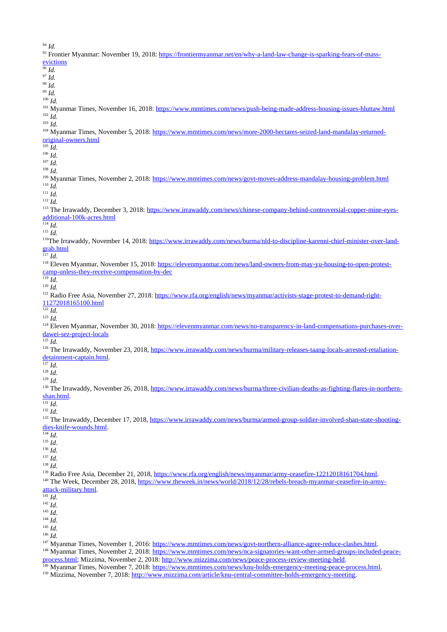<sup>94</sup> *Id.*

| Ia.<br><sup>95</sup> Frontier Myanmar: November 19, 2018: https://frontiermyanmar.net/en/why-a-land-law-change-is-sparking-fears-of-mass-                                                                                                                            |
|----------------------------------------------------------------------------------------------------------------------------------------------------------------------------------------------------------------------------------------------------------------------|
| evictions                                                                                                                                                                                                                                                            |
| $^{96}$ Id.                                                                                                                                                                                                                                                          |
| $^{97}$ Id.                                                                                                                                                                                                                                                          |
| $^{98}$ Id.                                                                                                                                                                                                                                                          |
| $99$ Id.<br>$100$ Id.                                                                                                                                                                                                                                                |
| <sup>101</sup> Myanmar Times, November 16, 2018: https://www.mmtimes.com/news/push-being-made-address-housing-issues-hluttaw.html                                                                                                                                    |
| $102$ Id.                                                                                                                                                                                                                                                            |
| $103$ Id.                                                                                                                                                                                                                                                            |
| <sup>104</sup> Myanmar Times, November 5, 2018: https://www.mmtimes.com/news/more-2000-hectares-seized-land-mandalay-returned-                                                                                                                                       |
| original-owners.html                                                                                                                                                                                                                                                 |
| $105$ Id.<br>$106$ Id.                                                                                                                                                                                                                                               |
| $107$ Id.                                                                                                                                                                                                                                                            |
| $108$ Id.                                                                                                                                                                                                                                                            |
| <sup>109</sup> Myanmar Times, November 2, 2018: https://www.mmtimes.com/news/govt-moves-address-mandalay-housing-problem.html                                                                                                                                        |
| $110$ Id.                                                                                                                                                                                                                                                            |
| $111$ Id.                                                                                                                                                                                                                                                            |
| $112$ Id.                                                                                                                                                                                                                                                            |
| <sup>113</sup> The Irrawaddy, December 3, 2018: https://www.irrawaddy.com/news/chinese-company-behind-controversial-copper-mine-eves-                                                                                                                                |
| additional-100k-acres.html<br>$114$ Id.                                                                                                                                                                                                                              |
| $115$ Id.                                                                                                                                                                                                                                                            |
| <sup>116</sup> The Irrawaddy, November 14, 2018: https://www.irrawaddy.com/news/burma/nld-to-discipline-karenni-chief-minister-over-land-                                                                                                                            |
| grab.html                                                                                                                                                                                                                                                            |
| $117$ Id.                                                                                                                                                                                                                                                            |
| <sup>118</sup> Eleven Myanmar, November 15, 2018: https://elevenmyanmar.com/news/land-owners-from-may-yu-housing-to-open-protest-                                                                                                                                    |
| camp-unless-they-receive-compensation-by-dec                                                                                                                                                                                                                         |
| $119$ Id.<br>$120$ Id.                                                                                                                                                                                                                                               |
| <sup>121</sup> Radio Free Asia, November 27, 2018: https://www.rfa.org/english/news/myanmar/activists-stage-protest-to-demand-right-                                                                                                                                 |
| 11272018165100.html                                                                                                                                                                                                                                                  |
| $122$ <i>Id.</i>                                                                                                                                                                                                                                                     |
| $123$ Id.                                                                                                                                                                                                                                                            |
| <sup>124</sup> Eleven Myanmar, November 30, 2018: https://elevenmyanmar.com/news/no-transparency-in-land-compensations-purchases-over-                                                                                                                               |
| dawei-sez-project-locals                                                                                                                                                                                                                                             |
| $125$ <i>Id.</i><br><sup>126</sup> The Irrawaddy, November 23, 2018, https://www.irrawaddy.com/news/burma/military-releases-taang-locals-arrested-retaliation-                                                                                                       |
| detainment-captain.html.                                                                                                                                                                                                                                             |
| $127$ Id.                                                                                                                                                                                                                                                            |
| $^{128}$ Id.                                                                                                                                                                                                                                                         |
| $129$ Id.                                                                                                                                                                                                                                                            |
| <sup>130</sup> The Irrawaddy, November 26, 2018, https://www.irrawaddy.com/news/burma/three-civilian-deaths-as-fighting-flares-in-northern-                                                                                                                          |
| shan.html.                                                                                                                                                                                                                                                           |
| $\overline{^{131}Id}$ .<br>$132$ Id.                                                                                                                                                                                                                                 |
| <sup>133</sup> The Irrawaddy, December 17, 2018, https://www.irrawaddy.com/news/burma/armed-group-soldier-involved-shan-state-shooting-                                                                                                                              |
| dies-knife-wounds.html.                                                                                                                                                                                                                                              |
| $134$ Id.                                                                                                                                                                                                                                                            |
| $135$ Id.                                                                                                                                                                                                                                                            |
| $^{136}$ Id.                                                                                                                                                                                                                                                         |
| $^{137}$ Id.                                                                                                                                                                                                                                                         |
| $138$ Id.                                                                                                                                                                                                                                                            |
| <sup>139</sup> Radio Free Asia, December 21, 2018, https://www.rfa.org/english/news/myanmar/army-ceasefire-12212018161704.html.<br><sup>140</sup> The Week, December 28, 2018, https://www.theweek.in/news/world/2018/12/28/rebels-breach-myanmar-ceasefire-in-army- |
| attack-military.html.                                                                                                                                                                                                                                                |
| $141$ Id.                                                                                                                                                                                                                                                            |
| $142$ Id.                                                                                                                                                                                                                                                            |
| $143$ Id.                                                                                                                                                                                                                                                            |
| $144$ Id.                                                                                                                                                                                                                                                            |
| $145$ Id.                                                                                                                                                                                                                                                            |
| $146$ Id.<br><sup>147</sup> Myanmar Times, November 1, 2016: https://www.mmtimes.com/news/govt-northern-alliance-agree-reduce-clashes.html.                                                                                                                          |
|                                                                                                                                                                                                                                                                      |

<sup>148</sup> Myanmar Times, November 2, 2018: [https://www.mmtimes.com/news/nca-signatories-want-other-armed-groups-included-peace](https://www.mmtimes.com/news/nca-signatories-want-other-armed-groups-included-peace-process.html)[process.html;](https://www.mmtimes.com/news/nca-signatories-want-other-armed-groups-included-peace-process.html) Mizzima, November 2, 2018: [http://www.mizzima.com/news/peace-process-review-meeting-held.](http://www.mizzima.com/news/peace-process-review-meeting-held)

<sup>149</sup> Myanmar Times, November 7, 2018: <https://www.mmtimes.com/news/knu-holds-emergency-meeting-peace-process.html>.

<sup>150</sup> Mizzima, November 7, 2018: [http://www.mizzima.com/article/knu-central-committee-holds-emergency-meeting.](http://www.mizzima.com/article/knu-central-committee-holds-emergency-meeting)